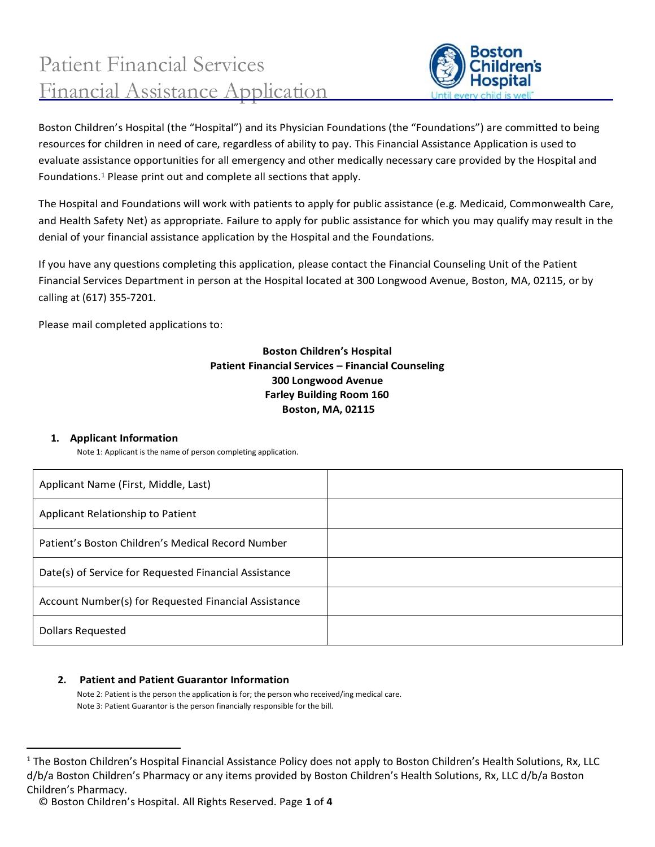

Boston Children's Hospital (the "Hospital") and its Physician Foundations (the "Foundations") are committed to being resources for children in need of care, regardless of ability to pay. This Financial Assistance Application is used to evaluate assistance opportunities for all emergency and other medically necessary care provided by the Hospital and Foundations.<sup>1</sup> Please print out and complete all sections that apply.

The Hospital and Foundations will work with patients to apply for public assistance (e.g. Medicaid, Commonwealth Care, and Health Safety Net) as appropriate. Failure to apply for public assistance for which you may qualify may result in the denial of your financial assistance application by the Hospital and the Foundations.

If you have any questions completing this application, please contact the Financial Counseling Unit of the Patient Financial Services Department in person at the Hospital located at 300 Longwood Avenue, Boston, MA, 02115, or by calling at (617) 355-7201.

Please mail completed applications to:

## **Boston Children's Hospital Patient Financial Services – Financial Counseling 300 Longwood Avenue Farley Building Room 160 Boston, MA, 02115**

### **1. Applicant Information**

Note 1: Applicant is the name of person completing application.

| Applicant Name (First, Middle, Last)                  |  |
|-------------------------------------------------------|--|
| Applicant Relationship to Patient                     |  |
| Patient's Boston Children's Medical Record Number     |  |
| Date(s) of Service for Requested Financial Assistance |  |
| Account Number(s) for Requested Financial Assistance  |  |
| <b>Dollars Requested</b>                              |  |

### **2. Patient and Patient Guarantor Information**

Note 2: Patient is the person the application is for; the person who received/ing medical care. Note 3: Patient Guarantor is the person financially responsible for the bill.

<sup>&</sup>lt;sup>1</sup> The Boston Children's Hospital Financial Assistance Policy does not apply to Boston Children's Health Solutions, Rx, LLC d/b/a Boston Children's Pharmacy or any items provided by Boston Children's Health Solutions, Rx, LLC d/b/a Boston Children's Pharmacy.

<sup>©</sup> Boston Children's Hospital. All Rights Reserved. Page **1** of **4**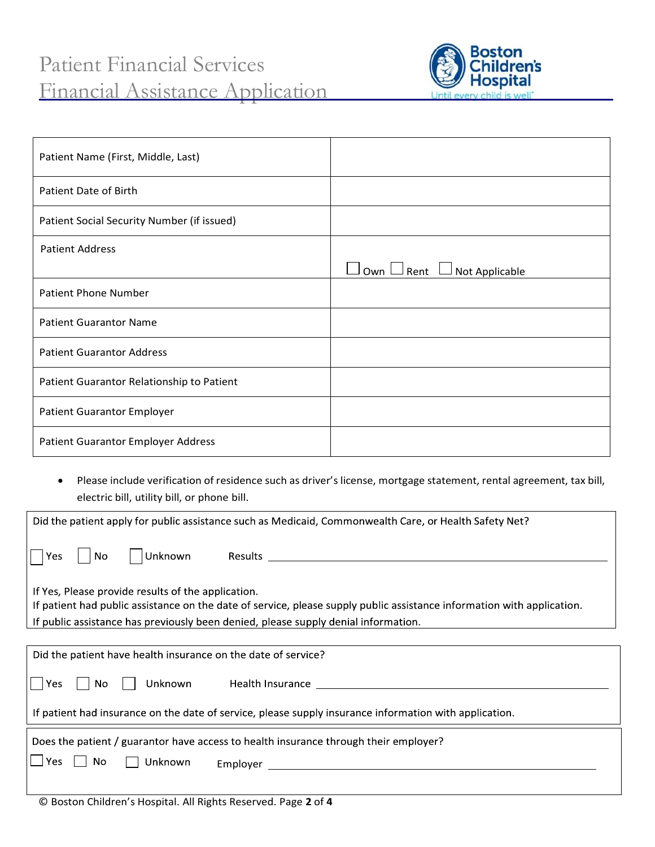

| Patient Name (First, Middle, Last)         |                                              |
|--------------------------------------------|----------------------------------------------|
| Patient Date of Birth                      |                                              |
| Patient Social Security Number (if issued) |                                              |
| <b>Patient Address</b>                     |                                              |
|                                            | $\Box$ Own $\Box$ Rent $\Box$ Not Applicable |
| <b>Patient Phone Number</b>                |                                              |
| <b>Patient Guarantor Name</b>              |                                              |
| <b>Patient Guarantor Address</b>           |                                              |
| Patient Guarantor Relationship to Patient  |                                              |
| <b>Patient Guarantor Employer</b>          |                                              |
| Patient Guarantor Employer Address         |                                              |
|                                            |                                              |

• Please include verification of residence such as driver's license, mortgage statement, rental agreement, tax bill, electric bill, utility bill, or phone bill.

| Did the patient apply for public assistance such as Medicaid, Commonwealth Care, or Health Safety Net?                                                                                                                                       |  |  |  |
|----------------------------------------------------------------------------------------------------------------------------------------------------------------------------------------------------------------------------------------------|--|--|--|
| Unknown<br>No<br>Yes.                                                                                                                                                                                                                        |  |  |  |
| If Yes, Please provide results of the application.                                                                                                                                                                                           |  |  |  |
| If patient had public assistance on the date of service, please supply public assistance information with application.                                                                                                                       |  |  |  |
| If public assistance has previously been denied, please supply denial information.                                                                                                                                                           |  |  |  |
|                                                                                                                                                                                                                                              |  |  |  |
| Did the patient have health insurance on the date of service?                                                                                                                                                                                |  |  |  |
| Unknown Health Insurance [19] Health Insurance [19] Health Insurance [19] Health Insurance [19] Health Insurance [19] Health Insurance [19] Health Insurance [19] Health Insurance [19] Health Insurance [19] Health Insurance<br>Yes<br>No. |  |  |  |
| If patient had insurance on the date of service, please supply insurance information with application.                                                                                                                                       |  |  |  |
| Does the patient / guarantor have access to health insurance through their employer?                                                                                                                                                         |  |  |  |
| $\Box$ Yes<br>No<br>Unknown                                                                                                                                                                                                                  |  |  |  |
| $\otimes$ B. H. $\otimes$ C. The $\otimes$ I control all B. Let B. $\otimes$ $\otimes$ $\otimes$ $\otimes$ B. $\otimes$ $\otimes$ $\otimes$ $\otimes$                                                                                        |  |  |  |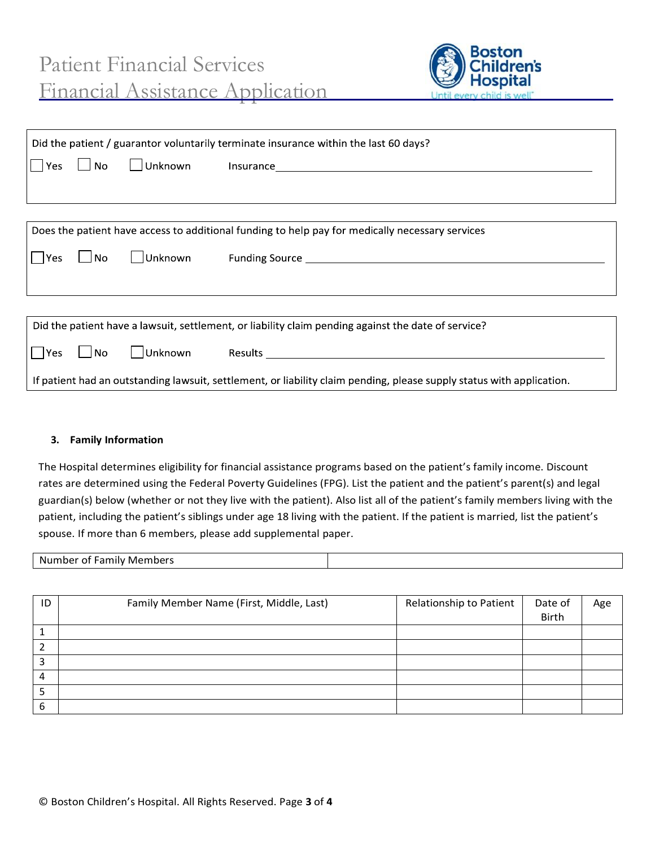

| Did the patient / guarantor voluntarily terminate insurance within the last 60 days?                                  |           |  |                              |
|-----------------------------------------------------------------------------------------------------------------------|-----------|--|------------------------------|
| Yes                                                                                                                   | $\Box$ No |  |                              |
|                                                                                                                       |           |  |                              |
|                                                                                                                       |           |  |                              |
| Does the patient have access to additional funding to help pay for medically necessary services                       |           |  |                              |
| Yes<br>$\overline{\phantom{0}}$                                                                                       | No        |  |                              |
|                                                                                                                       |           |  |                              |
|                                                                                                                       |           |  |                              |
| Did the patient have a lawsuit, settlement, or liability claim pending against the date of service?                   |           |  |                              |
| Yes<br>$\mathcal{L}$                                                                                                  | No        |  | Unknown Results January 1997 |
| If patient had an outstanding lawsuit, settlement, or liability claim pending, please supply status with application. |           |  |                              |

#### **3. Family Information**

The Hospital determines eligibility for financial assistance programs based on the patient's family income. Discount rates are determined using the Federal Poverty Guidelines (FPG). List the patient and the patient's parent(s) and legal guardian(s) below (whether or not they live with the patient). Also list all of the patient's family members living with the patient, including the patient's siblings under age 18 living with the patient. If the patient is married, list the patient's spouse. If more than 6 members, please add supplemental paper.

| Members<br>$\sim$ $\sim$ $\sim$<br>Number<br>nilv<br>ot.<br>`di |  |
|-----------------------------------------------------------------|--|
|-----------------------------------------------------------------|--|

| ID     | Family Member Name (First, Middle, Last) | Relationship to Patient | Date of<br>Birth | Age |
|--------|------------------------------------------|-------------------------|------------------|-----|
|        |                                          |                         |                  |     |
| າ      |                                          |                         |                  |     |
| ີ<br>э |                                          |                         |                  |     |
| 4      |                                          |                         |                  |     |
| э      |                                          |                         |                  |     |
| 6      |                                          |                         |                  |     |